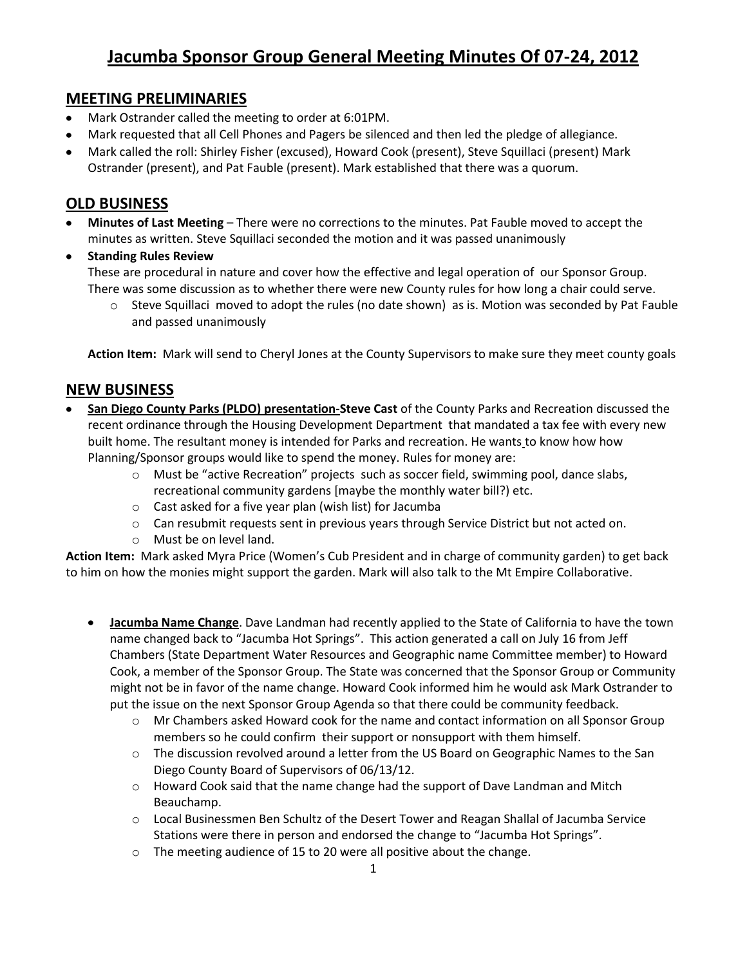## **MEETING PRELIMINARIES**

- Mark Ostrander called the meeting to order at 6:01PM.
- Mark requested that all Cell Phones and Pagers be silenced and then led the pledge of allegiance.
- Mark called the roll: Shirley Fisher (excused), Howard Cook (present), Steve Squillaci (present) Mark Ostrander (present), and Pat Fauble (present). Mark established that there was a quorum.

## **OLD BUSINESS**

- **Minutes of Last Meeting** There were no corrections to the minutes. Pat Fauble moved to accept the minutes as written. Steve Squillaci seconded the motion and it was passed unanimously
- **Standing Rules Review** These are procedural in nature and cover how the effective and legal operation of our Sponsor Group. There was some discussion as to whether there were new County rules for how long a chair could serve.
	- $\circ$  Steve Squillaci moved to adopt the rules (no date shown) as is. Motion was seconded by Pat Fauble and passed unanimously

**Action Item:** Mark will send to Cheryl Jones at the County Supervisors to make sure they meet county goals

## **NEW BUSINESS**

- **San Diego County Parks (PLDO) presentation-Steve Cast of the County Parks and Recreation discussed the** recent ordinance through the Housing Development Department that mandated a tax fee with every new built home. The resultant money is intended for Parks and recreation. He wants to know how how Planning/Sponsor groups would like to spend the money. Rules for money are:
	- o Must be "active Recreation" projects such as soccer field, swimming pool, dance slabs, recreational community gardens [maybe the monthly water bill?) etc.
	- o Cast asked for a five year plan (wish list) for Jacumba
	- o Can resubmit requests sent in previous years through Service District but not acted on.
	- o Must be on level land.

**Action Item:** Mark asked Myra Price (Women's Cub President and in charge of community garden) to get back to him on how the monies might support the garden. Mark will also talk to the Mt Empire Collaborative.

- **Jacumba Name Change**. Dave Landman had recently applied to the State of California to have the town name changed back to "Jacumba Hot Springs". This action generated a call on July 16 from Jeff Chambers (State Department Water Resources and Geographic name Committee member) to Howard Cook, a member of the Sponsor Group. The State was concerned that the Sponsor Group or Community might not be in favor of the name change. Howard Cook informed him he would ask Mark Ostrander to put the issue on the next Sponsor Group Agenda so that there could be community feedback.
	- o Mr Chambers asked Howard cook for the name and contact information on all Sponsor Group members so he could confirm their support or nonsupport with them himself.
	- $\circ$  The discussion revolved around a letter from the US Board on Geographic Names to the San Diego County Board of Supervisors of 06/13/12.
	- $\circ$  Howard Cook said that the name change had the support of Dave Landman and Mitch Beauchamp.
	- o Local Businessmen Ben Schultz of the Desert Tower and Reagan Shallal of Jacumba Service Stations were there in person and endorsed the change to "Jacumba Hot Springs".
	- o The meeting audience of 15 to 20 were all positive about the change.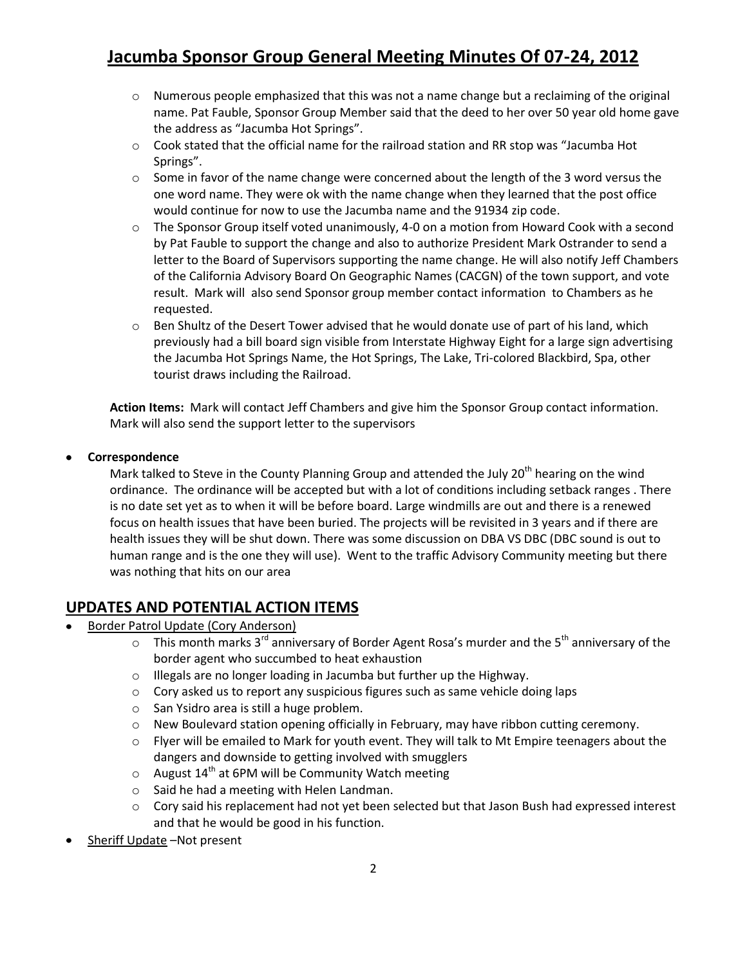# **Jacumba Sponsor Group General Meeting Minutes Of 07-24, 2012**

- $\circ$  Numerous people emphasized that this was not a name change but a reclaiming of the original name. Pat Fauble, Sponsor Group Member said that the deed to her over 50 year old home gave the address as "Jacumba Hot Springs".
- o Cook stated that the official name for the railroad station and RR stop was "Jacumba Hot Springs".
- $\circ$  Some in favor of the name change were concerned about the length of the 3 word versus the one word name. They were ok with the name change when they learned that the post office would continue for now to use the Jacumba name and the 91934 zip code.
- $\circ$  The Sponsor Group itself voted unanimously, 4-0 on a motion from Howard Cook with a second by Pat Fauble to support the change and also to authorize President Mark Ostrander to send a letter to the Board of Supervisors supporting the name change. He will also notify Jeff Chambers of the California Advisory Board On Geographic Names (CACGN) of the town support, and vote result. Mark will also send Sponsor group member contact information to Chambers as he requested.
- $\circ$  Ben Shultz of the Desert Tower advised that he would donate use of part of his land, which previously had a bill board sign visible from Interstate Highway Eight for a large sign advertising the Jacumba Hot Springs Name, the Hot Springs, The Lake, Tri-colored Blackbird, Spa, other tourist draws including the Railroad.

**Action Items:** Mark will contact Jeff Chambers and give him the Sponsor Group contact information. Mark will also send the support letter to the supervisors

#### **Correspondence**

Mark talked to Steve in the County Planning Group and attended the July 20<sup>th</sup> hearing on the wind ordinance. The ordinance will be accepted but with a lot of conditions including setback ranges . There is no date set yet as to when it will be before board. Large windmills are out and there is a renewed focus on health issues that have been buried. The projects will be revisited in 3 years and if there are health issues they will be shut down. There was some discussion on DBA VS DBC (DBC sound is out to human range and is the one they will use). Went to the traffic Advisory Community meeting but there was nothing that hits on our area

### **UPDATES AND POTENTIAL ACTION ITEMS**

- Border Patrol Update (Cory Anderson)
	- $\circ$  This month marks 3<sup>rd</sup> anniversary of Border Agent Rosa's murder and the 5<sup>th</sup> anniversary of the border agent who succumbed to heat exhaustion
	- o Illegals are no longer loading in Jacumba but further up the Highway.
	- $\circ$  Cory asked us to report any suspicious figures such as same vehicle doing laps
	- o San Ysidro area is still a huge problem.
	- o New Boulevard station opening officially in February, may have ribbon cutting ceremony.
	- $\circ$  Flyer will be emailed to Mark for youth event. They will talk to Mt Empire teenagers about the dangers and downside to getting involved with smugglers
	- $\circ$  August 14<sup>th</sup> at 6PM will be Community Watch meeting
	- o Said he had a meeting with Helen Landman.
	- o Cory said his replacement had not yet been selected but that Jason Bush had expressed interest and that he would be good in his function.
- Sheriff Update –Not present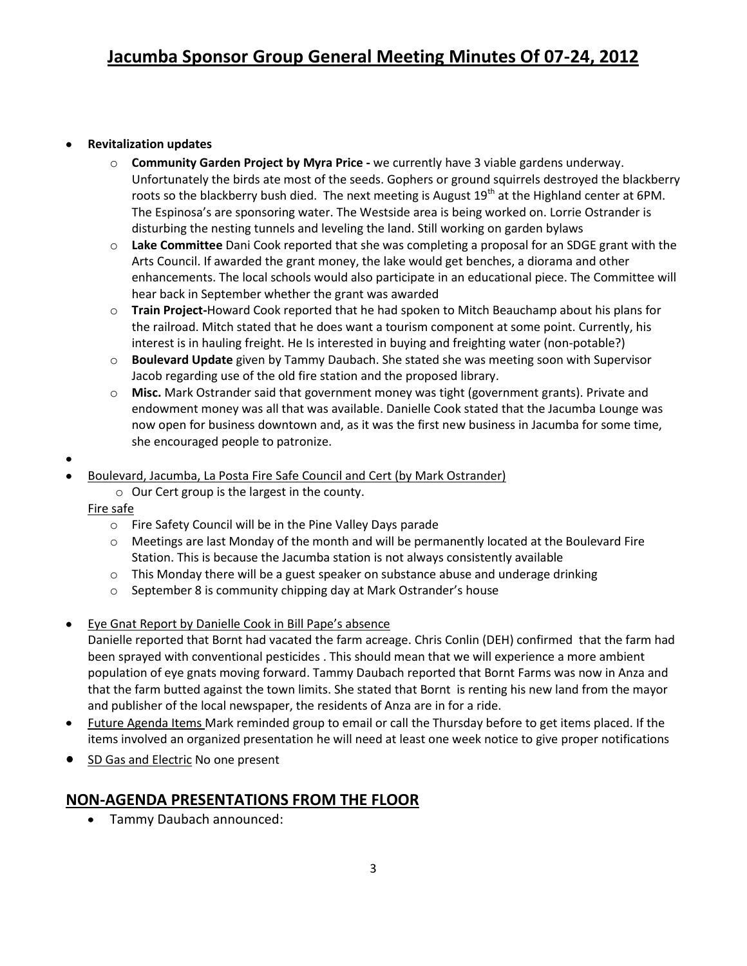### **Revitalization updates**

- o **Community Garden Project by Myra Price -** we currently have 3 viable gardens underway. Unfortunately the birds ate most of the seeds. Gophers or ground squirrels destroyed the blackberry roots so the blackberry bush died. The next meeting is August  $19<sup>th</sup>$  at the Highland center at 6PM. The Espinosa's are sponsoring water. The Westside area is being worked on. Lorrie Ostrander is disturbing the nesting tunnels and leveling the land. Still working on garden bylaws
- o **Lake Committee** Dani Cook reported that she was completing a proposal for an SDGE grant with the Arts Council. If awarded the grant money, the lake would get benches, a diorama and other enhancements. The local schools would also participate in an educational piece. The Committee will hear back in September whether the grant was awarded
- o **Train Project-**Howard Cook reported that he had spoken to Mitch Beauchamp about his plans for the railroad. Mitch stated that he does want a tourism component at some point. Currently, his interest is in hauling freight. He Is interested in buying and freighting water (non-potable?)
- o **Boulevard Update** given by Tammy Daubach. She stated she was meeting soon with Supervisor Jacob regarding use of the old fire station and the proposed library.
- o **Misc.** Mark Ostrander said that government money was tight (government grants). Private and endowment money was all that was available. Danielle Cook stated that the Jacumba Lounge was now open for business downtown and, as it was the first new business in Jacumba for some time, she encouraged people to patronize.
- - Boulevard, Jacumba, La Posta Fire Safe Council and Cert (by Mark Ostrander)
		- $\circ$  Our Cert group is the largest in the county.

#### Fire safe

- o Fire Safety Council will be in the Pine Valley Days parade
- $\circ$  Meetings are last Monday of the month and will be permanently located at the Boulevard Fire Station. This is because the Jacumba station is not always consistently available
- $\circ$  This Monday there will be a guest speaker on substance abuse and underage drinking
- o September 8 is community chipping day at Mark Ostrander's house
- Eye Gnat Report by Danielle Cook in Bill Pape's absence
	- Danielle reported that Bornt had vacated the farm acreage. Chris Conlin (DEH) confirmed that the farm had been sprayed with conventional pesticides . This should mean that we will experience a more ambient population of eye gnats moving forward. Tammy Daubach reported that Bornt Farms was now in Anza and that the farm butted against the town limits. She stated that Bornt is renting his new land from the mayor and publisher of the local newspaper, the residents of Anza are in for a ride.
- Future Agenda Items Mark reminded group to email or call the Thursday before to get items placed. If the  $\bullet$ items involved an organized presentation he will need at least one week notice to give proper notifications
- SD Gas and Electric No one present

## **NON-AGENDA PRESENTATIONS FROM THE FLOOR**

Tammy Daubach announced: